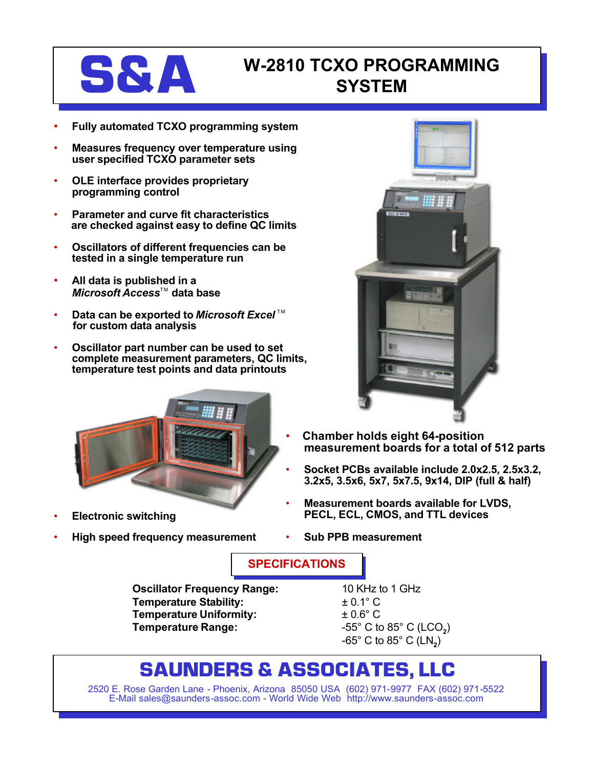

## **S&A** W-2810 TCXO PROGRAMMING **SYSTEM**

- **Fully automated TCXO programming system**
- **Measures frequency over temperature using user specified TCXO parameter sets**
- **OLE interface provides proprietary programming control**
- **Parameter and curve fit characteristics are checked against easy to define QC limits**
- **Oscillators of different frequencies can be tested in a single temperature run**
- **All data is published in a** *Microsoft Access*™ data base
- **Data can be exported to Microsoft Excel**™ **for custom data analysis**
- **Oscillator part number can be used to set complete measurement parameters, QC limits, temperature test points and data printouts**



- **Electronic switching**
- **High speed frequency measurement**



- **Chamber holds eight 64-position measurement boards for a total of 512 parts**
- **Socket PCBs available include 2.0x2.5, 2.5x3.2, 3.2x5, 3.5x6, 5x7, 5x7.5, 9x14, DIP (full & half)**
- **Measurement boards available for LVDS, PECL, ECL, CMOS, and TTL devices**
- **Sub PPB measurement**

**SPECIFICATIONS**

**Oscillator Frequency Range:** 10 KHz to 1 GHz **Temperature Stability:**  $\qquad 2^{+0.1^{\circ}C}$ **Temperature Uniformity:** ± 0.6° C **Temperature Range:** -55° C to 85° C (LCO**<sup>2</sup>** )

-65° C to 85° C (LN**<sup>2</sup>** )

## **SAUNDERS & ASSOCIATES, LLC**

2520 E. Rose Garden Lane - Phoenix, Arizona 85050 USA (602) 971-9977 FAX (602) 971-5522 E-Mail sales@saunders-assoc.com - World Wide Web http://www.saunders-assoc.com